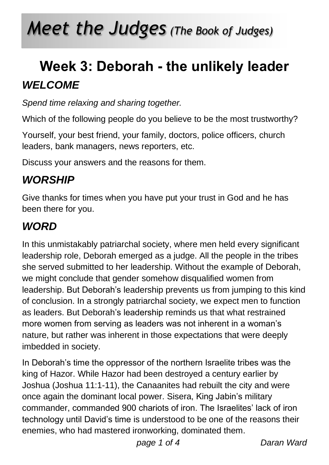# *Meet the Judges (The Book of Judges)*

### **Week 3: Deborah - the unlikely leader** *WELCOME*

*Spend time relaxing and sharing together.*

Which of the following people do you believe to be the most trustworthy?

Yourself, your best friend, your family, doctors, police officers, church leaders, bank managers, news reporters, etc.

Discuss your answers and the reasons for them.

### *WORSHIP*

Give thanks for times when you have put your trust in God and he has been there for you.

### *WORD*

In this unmistakably patriarchal society, where men held every significant leadership role, Deborah emerged as a judge. All the people in the tribes she served submitted to her leadership. Without the example of Deborah, we might conclude that gender somehow disqualified women from leadership. But Deborah's leadership prevents us from jumping to this kind of conclusion. In a strongly patriarchal society, we expect men to function as leaders. But Deborah's leadership reminds us that what restrained more women from serving as leaders was not inherent in a woman's nature, but rather was inherent in those expectations that were deeply imbedded in society.

In Deborah's time the oppressor of the northern Israelite tribes was the king of Hazor. While Hazor had been destroyed a century earlier by Joshua (Joshua 11:1-11), the Canaanites had rebuilt the city and were once again the dominant local power. Sisera, King Jabin's military commander, commanded 900 chariots of iron. The Israelites' lack of iron technology until David's time is understood to be one of the reasons their enemies, who had mastered ironworking, dominated them.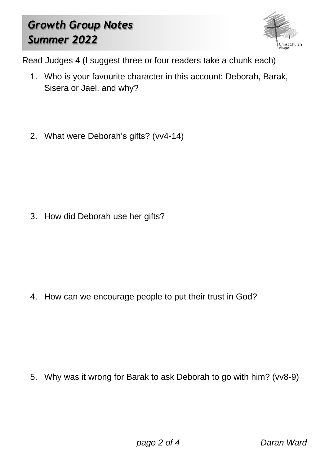### *Growth Group Notes Summer 2022*



Read Judges 4 (I suggest three or four readers take a chunk each)

- 1. Who is your favourite character in this account: Deborah, Barak, Sisera or Jael, and why?
- 2. What were Deborah's gifts? (vv4-14)

3. How did Deborah use her gifts?

4. How can we encourage people to put their trust in God?

5. Why was it wrong for Barak to ask Deborah to go with him? (vv8-9)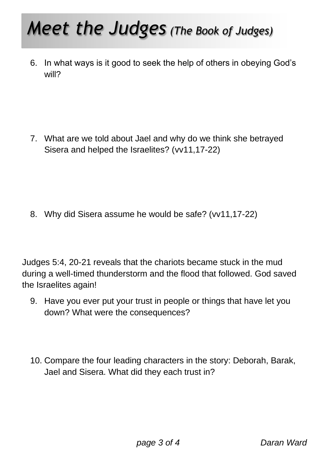## *Meet the Judges (The Book of Judges)*

6. In what ways is it good to seek the help of others in obeying God's will?

7. What are we told about Jael and why do we think she betrayed Sisera and helped the Israelites? (vv11,17-22)

8. Why did Sisera assume he would be safe? (vv11,17-22)

Judges 5:4, 20-21 reveals that the chariots became stuck in the mud during a well-timed thunderstorm and the flood that followed. God saved the Israelites again!

- 9. Have you ever put your trust in people or things that have let you down? What were the consequences?
- 10. Compare the four leading characters in the story: Deborah, Barak, Jael and Sisera. What did they each trust in?